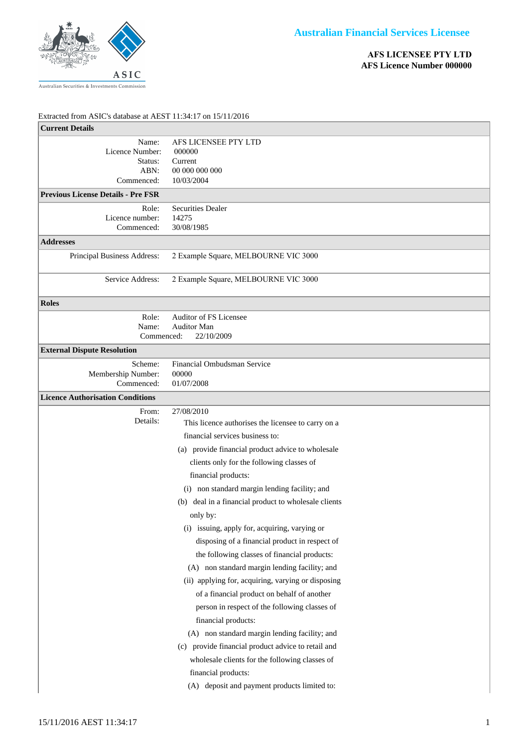

## Extracted from ASIC's database at AEST 11:34:17 on 15/11/2016

| EXUACIE ITOM ASIC S GALADASE AL AESI 11.54.1 ON 13/11/2010 |                                                      |
|------------------------------------------------------------|------------------------------------------------------|
| <b>Current Details</b>                                     |                                                      |
| Name:<br>Licence Number:                                   | AFS LICENSEE PTY LTD<br>000000                       |
| Status:                                                    | Current                                              |
| ABN:                                                       | 00 000 000 000                                       |
| Commenced:                                                 | 10/03/2004                                           |
| <b>Previous License Details - Pre FSR</b>                  |                                                      |
| Role:                                                      | Securities Dealer                                    |
| Licence number:<br>Commenced:                              | 14275<br>30/08/1985                                  |
| <b>Addresses</b>                                           |                                                      |
|                                                            | 2 Example Square, MELBOURNE VIC 3000                 |
| Principal Business Address:                                |                                                      |
| Service Address:                                           | 2 Example Square, MELBOURNE VIC 3000                 |
| <b>Roles</b>                                               |                                                      |
| Role:                                                      | Auditor of FS Licensee                               |
| Name:<br>Commenced:                                        | Auditor Man<br>22/10/2009                            |
|                                                            |                                                      |
| <b>External Dispute Resolution</b>                         |                                                      |
| Scheme:<br>Membership Number:                              | Financial Ombudsman Service<br>00000                 |
| Commenced:                                                 | 01/07/2008                                           |
| <b>Licence Authorisation Conditions</b>                    |                                                      |
| From:                                                      | 27/08/2010                                           |
| Details:                                                   | This licence authorises the licensee to carry on a   |
|                                                            | financial services business to:                      |
|                                                            | (a) provide financial product advice to wholesale    |
|                                                            | clients only for the following classes of            |
|                                                            | financial products:                                  |
|                                                            | (i) non standard margin lending facility; and        |
|                                                            | (b) deal in a financial product to wholesale clients |
|                                                            |                                                      |
|                                                            | only by:                                             |
|                                                            | (i) issuing, apply for, acquiring, varying or        |
|                                                            | disposing of a financial product in respect of       |
|                                                            | the following classes of financial products:         |
|                                                            | (A) non standard margin lending facility; and        |
|                                                            | (ii) applying for, acquiring, varying or disposing   |
|                                                            | of a financial product on behalf of another          |
|                                                            | person in respect of the following classes of        |
|                                                            | financial products:                                  |
|                                                            | (A) non standard margin lending facility; and        |
|                                                            | (c) provide financial product advice to retail and   |
|                                                            | wholesale clients for the following classes of       |
|                                                            | financial products:                                  |
|                                                            | (A) deposit and payment products limited to:         |
|                                                            |                                                      |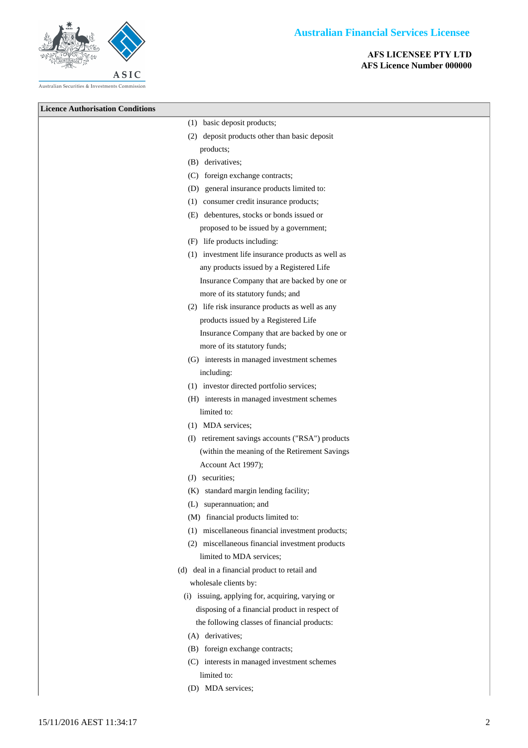## **Australian Financial Services Licensee**





- (B) foreign exchange contracts;
- (C) interests in managed investment schemes limited to:
- (D) MDA services;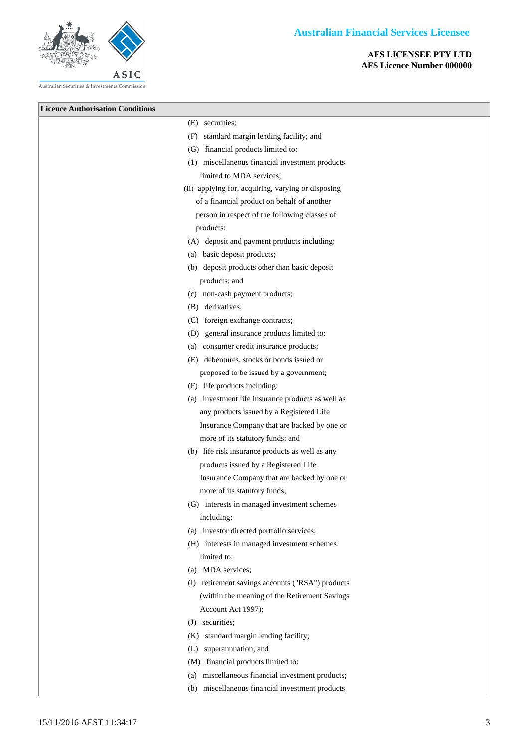



- (a) MDA services;
- (I) retirement savings accounts ("RSA") products (within the meaning of the Retirement Savings Account Act 1997);
- (J) securities;
- (K) standard margin lending facility;
- (L) superannuation; and
- (M) financial products limited to:
- (a) miscellaneous financial investment products;
- (b) miscellaneous financial investment products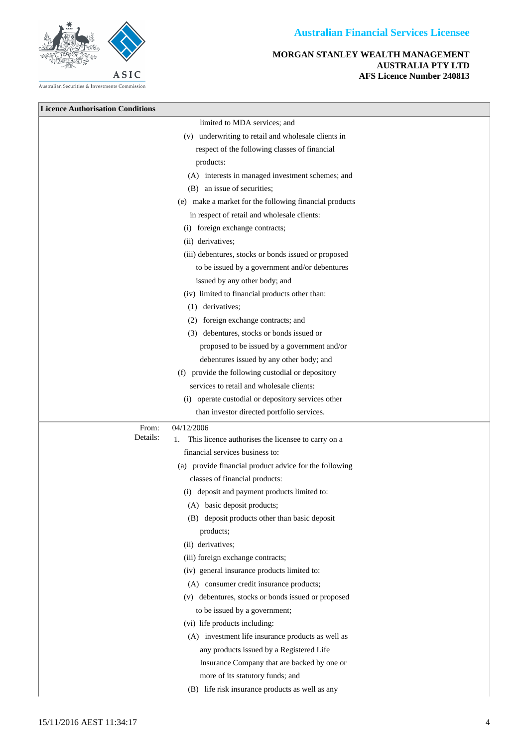

**MORGAN STANLEY WEALTH MANAGEMENT AUSTRALIA PTY LTD AFS Licence Number 240813**

| <b>Licence Authorisation Conditions</b> |                                                            |
|-----------------------------------------|------------------------------------------------------------|
|                                         | limited to MDA services; and                               |
|                                         | (v) underwriting to retail and wholesale clients in        |
|                                         | respect of the following classes of financial              |
|                                         | products:                                                  |
|                                         | (A) interests in managed investment schemes; and           |
|                                         | (B) an issue of securities;                                |
|                                         | (e) make a market for the following financial products     |
|                                         | in respect of retail and wholesale clients:                |
|                                         | (i) foreign exchange contracts;                            |
|                                         | (ii) derivatives;                                          |
|                                         | (iii) debentures, stocks or bonds issued or proposed       |
|                                         | to be issued by a government and/or debentures             |
|                                         | issued by any other body; and                              |
|                                         | (iv) limited to financial products other than:             |
|                                         | (1) derivatives;                                           |
|                                         | (2) foreign exchange contracts; and                        |
|                                         | (3) debentures, stocks or bonds issued or                  |
|                                         | proposed to be issued by a government and/or               |
|                                         | debentures issued by any other body; and                   |
|                                         | (f) provide the following custodial or depository          |
|                                         | services to retail and wholesale clients:                  |
|                                         | (i) operate custodial or depository services other         |
|                                         | than investor directed portfolio services.                 |
| From:                                   | 04/12/2006                                                 |
| Details:                                | This licence authorises the licensee to carry on a<br>1.   |
|                                         | financial services business to:                            |
|                                         | (a) provide financial product advice for the following     |
|                                         | classes of financial products:                             |
|                                         | (i) deposit and payment products limited to:               |
|                                         | (A) basic deposit products;                                |
|                                         | (B) deposit products other than basic deposit<br>products; |
|                                         | (ii) derivatives;                                          |
|                                         | (iii) foreign exchange contracts;                          |
|                                         | (iv) general insurance products limited to:                |
|                                         | (A) consumer credit insurance products;                    |
|                                         | (v) debentures, stocks or bonds issued or proposed         |
|                                         | to be issued by a government;                              |
|                                         | (vi) life products including:                              |
|                                         | (A) investment life insurance products as well as          |
|                                         | any products issued by a Registered Life                   |
|                                         | Insurance Company that are backed by one or                |
|                                         | more of its statutory funds; and                           |
|                                         | (B) life risk insurance products as well as any            |
|                                         |                                                            |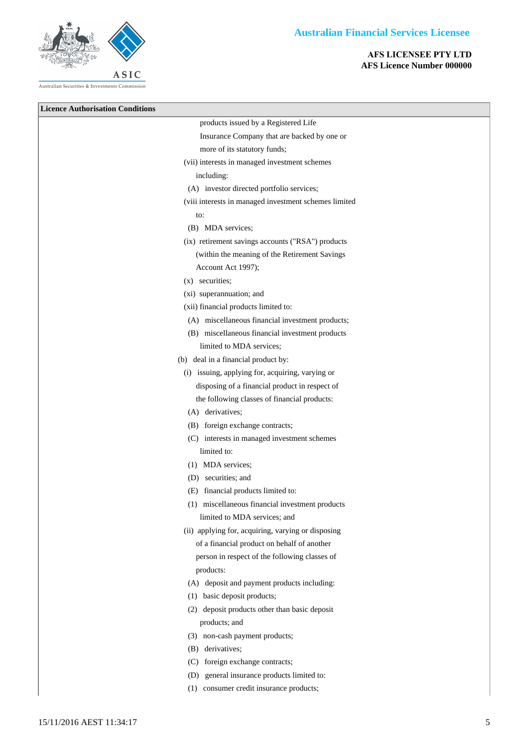

**Licence Authorisation Conditions** products issued by a Registered Life Insurance Company that are backed by one or more of its statutory funds; (vii) interests in managed investment schemes including: (A) investor directed portfolio services; (viii interests in managed investment schemes limited to: (B) MDA services; (ix) retirement savings accounts ("RSA") products (within the meaning of the Retirement Savings Account Act 1997); (x) securities; (xi) superannuation; and (xii) financial products limited to: (A) miscellaneous financial investment products; (B) miscellaneous financial investment products limited to MDA services; (b) deal in a financial product by: (i) issuing, applying for, acquiring, varying or disposing of a financial product in respect of the following classes of financial products: (A) derivatives; (B) foreign exchange contracts; (C) interests in managed investment schemes limited to: (1) MDA services; (D) securities; and (E) financial products limited to: (1) miscellaneous financial investment products limited to MDA services; and (ii) applying for, acquiring, varying or disposing of a financial product on behalf of another person in respect of the following classes of products: (A) deposit and payment products including: (1) basic deposit products; (2) deposit products other than basic deposit products; and (3) non-cash payment products; (B) derivatives; (C) foreign exchange contracts; (D) general insurance products limited to: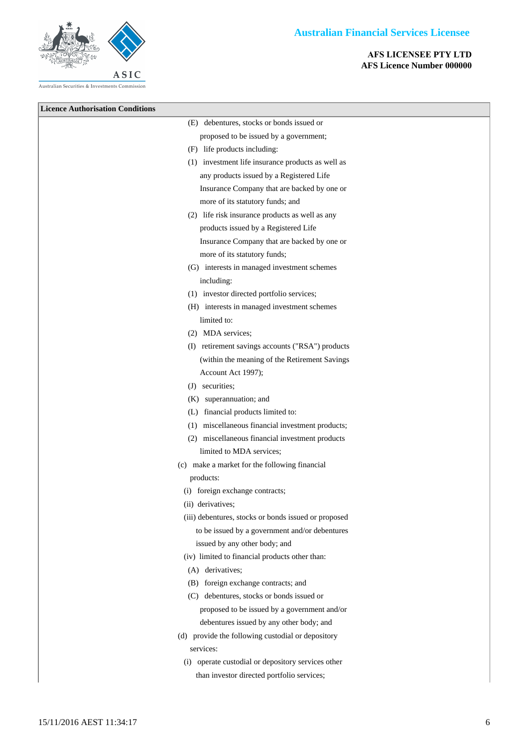

| <b>Licence Authorisation Conditions</b> |                                                      |
|-----------------------------------------|------------------------------------------------------|
|                                         | (E) debentures, stocks or bonds issued or            |
|                                         | proposed to be issued by a government;               |
|                                         | (F) life products including:                         |
|                                         | (1) investment life insurance products as well as    |
|                                         | any products issued by a Registered Life             |
|                                         | Insurance Company that are backed by one or          |
|                                         | more of its statutory funds; and                     |
|                                         | (2) life risk insurance products as well as any      |
|                                         | products issued by a Registered Life                 |
|                                         | Insurance Company that are backed by one or          |
|                                         | more of its statutory funds;                         |
|                                         | (G) interests in managed investment schemes          |
|                                         | including:                                           |
|                                         | (1) investor directed portfolio services;            |
|                                         | (H) interests in managed investment schemes          |
|                                         | limited to:                                          |
|                                         | (2) MDA services;                                    |
|                                         | (I) retirement savings accounts ("RSA") products     |
|                                         | (within the meaning of the Retirement Savings        |
|                                         | Account Act 1997);                                   |
|                                         | (J) securities;                                      |
|                                         | (K) superannuation; and                              |
|                                         | (L) financial products limited to:                   |
|                                         | (1) miscellaneous financial investment products;     |
|                                         | (2) miscellaneous financial investment products      |
|                                         | limited to MDA services;                             |
|                                         | (c) make a market for the following financial        |
|                                         | products:                                            |
|                                         | (i) foreign exchange contracts;                      |
|                                         | (ii) derivatives;                                    |
|                                         | (iii) debentures, stocks or bonds issued or proposed |
|                                         | to be issued by a government and/or debentures       |
|                                         | issued by any other body; and                        |
|                                         | (iv) limited to financial products other than:       |
|                                         | (A) derivatives;                                     |
|                                         | (B) foreign exchange contracts; and                  |
|                                         | (C) debentures, stocks or bonds issued or            |
|                                         | proposed to be issued by a government and/or         |
|                                         | debentures issued by any other body; and             |
|                                         | (d) provide the following custodial or depository    |
|                                         | services:                                            |
|                                         | (i) operate custodial or depository services other   |
|                                         | than investor directed portfolio services;           |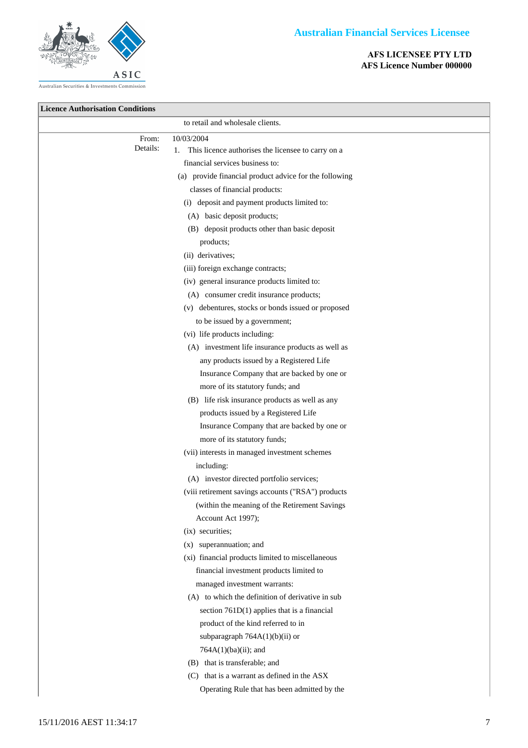



Australian Securities & Investments Commission

**Licence Authorisation Conditions**

**AFS LICENSEE PTY LTD AFS Licence Number 000000**

|                | to retail and wholesale clients.                       |
|----------------|--------------------------------------------------------|
| From:          | 10/03/2004                                             |
| Details:<br>1. | This licence authorises the licensee to carry on a     |
|                | financial services business to:                        |
|                | (a) provide financial product advice for the following |
|                | classes of financial products:                         |
|                | (i) deposit and payment products limited to:           |
|                | (A) basic deposit products;                            |
|                | (B) deposit products other than basic deposit          |
|                | products;                                              |
|                | (ii) derivatives;                                      |
|                | (iii) foreign exchange contracts;                      |
|                | (iv) general insurance products limited to:            |
|                | (A) consumer credit insurance products;                |
|                | (v) debentures, stocks or bonds issued or proposed     |
|                | to be issued by a government;                          |
|                | (vi) life products including:                          |
|                | (A) investment life insurance products as well as      |
|                | any products issued by a Registered Life               |
|                | Insurance Company that are backed by one or            |
|                | more of its statutory funds; and                       |
|                | (B) life risk insurance products as well as any        |
|                | products issued by a Registered Life                   |
|                | Insurance Company that are backed by one or            |
|                | more of its statutory funds;                           |
|                | (vii) interests in managed investment schemes          |
|                | including:                                             |
|                | (A) investor directed portfolio services;              |
|                | (viii retirement savings accounts ("RSA") products     |
|                | (within the meaning of the Retirement Savings          |
|                | Account Act 1997);                                     |
|                | (ix) securities;                                       |
|                | superannuation; and<br>(X)                             |
|                | (xi) financial products limited to miscellaneous       |
|                | financial investment products limited to               |
|                | managed investment warrants:                           |
|                | (A) to which the definition of derivative in sub       |
|                | section $761D(1)$ applies that is a financial          |
|                | product of the kind referred to in                     |
|                | subparagraph 764A(1)(b)(ii) or                         |
|                | 764A(1)(ba)(ii); and                                   |
|                | (B) that is transferable; and                          |
|                | (C) that is a warrant as defined in the ASX            |
|                | Operating Rule that has been admitted by the           |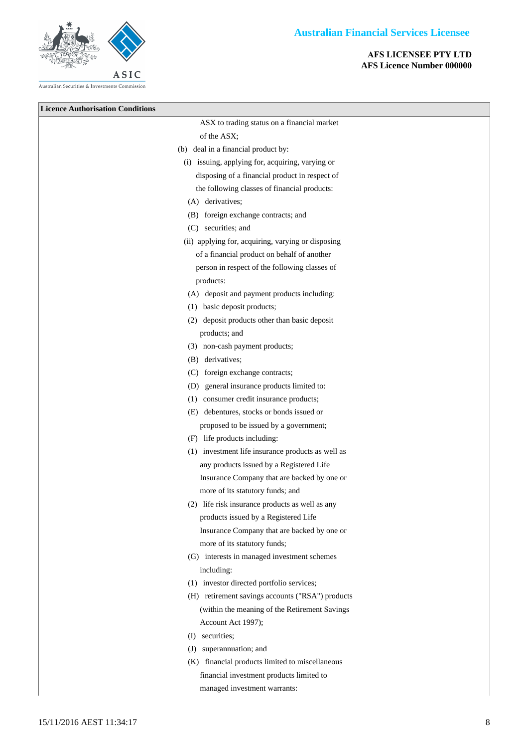



**Licence Authorisation Condition** 

| on Conditions |                                                    |
|---------------|----------------------------------------------------|
|               | ASX to trading status on a financial market        |
|               | of the ASX;                                        |
|               | (b) deal in a financial product by:                |
|               | (i) issuing, applying for, acquiring, varying or   |
|               | disposing of a financial product in respect of     |
|               | the following classes of financial products:       |
|               | (A) derivatives;                                   |
|               | (B) foreign exchange contracts; and                |
|               | (C) securities; and                                |
|               | (ii) applying for, acquiring, varying or disposing |
|               | of a financial product on behalf of another        |
|               | person in respect of the following classes of      |
|               | products:                                          |
|               | (A) deposit and payment products including:        |
|               | (1) basic deposit products;                        |
|               | (2) deposit products other than basic deposit      |
|               | products; and                                      |
|               | (3) non-cash payment products;                     |
|               | (B) derivatives;                                   |
|               | (C) foreign exchange contracts;                    |
|               | (D) general insurance products limited to:         |
|               | (1) consumer credit insurance products;            |
|               | (E) debentures, stocks or bonds issued or          |
|               | proposed to be issued by a government;             |
|               | (F) life products including:                       |
|               | (1) investment life insurance products as well as  |
|               | any products issued by a Registered Life           |
|               | Insurance Company that are backed by one or        |
|               | more of its statutory funds; and                   |
|               | (2) life risk insurance products as well as any    |
|               | products issued by a Registered Life               |
|               | Insurance Company that are backed by one or        |
|               | more of its statutory funds;                       |
|               | (G) interests in managed investment schemes        |
|               | including:                                         |
|               | (1) investor directed portfolio services;          |
|               | (H) retirement savings accounts ("RSA") products   |
|               | (within the meaning of the Retirement Savings      |
|               | Account Act 1997);                                 |
|               | (I) securities;                                    |
|               | (J) superannuation; and                            |
|               | (K) financial products limited to miscellaneous    |
|               | financial investment products limited to           |
|               | managed investment warrants:                       |